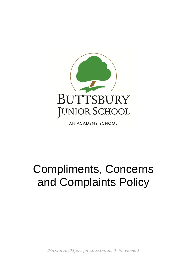

AN ACADEMY SCHOOL

# Compliments, Concerns and Complaints Policy

*Maximum Effort for Maximum Achievement*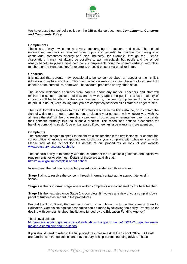

We have based our school's policy on the DfE guidance document *Compliments, Concerns and Complaints Policy*

#### **Compliments**

These are always welcome and very encouraging to teachers and staff. The school encourages feedback or opinions from pupils and parents. In practice this dialogue is continuous, sometimes directly and also indirectly, for example, through the Friends' Association. It may not always be possible to act immediately but pupils and the school always benefit so please don't hold back. Compliments could be shared verbally, with class teachers or the Headteacher, for example, or could be sent via email or letter.

### **Concerns**

It is natural that parents may, occasionally, be concerned about an aspect of their child's education or welfare at school. This could include issues concerning the school's approach to aspects of the curriculum, homework, behavioural problems or any other issue.

The school welcomes enquiries from parents about any matter. Teachers and staff will explain the school practices, policies, and how they affect the pupils. The vast majority of concerns will be handled by the class teacher or by the year group leader if this is more helpful. If in doubt, keep asking until you are completely satisfied as all staff are eager to help.

The usual format is to speak to the child's class teacher in the first instance, or to contact the School Office to arrange an appointment to discuss your concern with whoever you wish. At all times the staff will help to resolve a problem. If occasionally parents feel they must state their concern formally, this too is not a problem. The school has defined procedures for handling complaints so don't be embarrassed if you feel an issue warrants more attention.

### **Complaints**

The procedure is again to speak to the child's class teacher in the first instance, or contact the school office to arrange an appointment to discuss your complaint with whoever you wish. Please ask at the school for full details of our procedures or look at our website [www.buttsbury-jun.essex.sch.uk.](http://www.buttsbury-jun.essex.sch.uk/)

The school's policy is to comply with the Department for Education's guidance and legislative requirements for Academies. Details of these are available at: <https://www.gov.uk/complain-about-school>

In summary, the nationally accepted procedure is divided into three stages:

**Stage 1** aims to resolve the concern through informal contact at the appropriate level in school.

**Stage 2** is the first formal stage where written complaints are considered by the headteacher.

**Stage 3** is the next step once Stage 2 is complete. It involves a review of your complaint by a panel of trustees as set out in the procedures.

Beyond the Trust Board, the final recourse for a complainant is to the Secretary of State for Education. Complaints against academies can be made by following the policy 'Procedure for dealing with complaints about Institutions funded by the Education Funding Agency.'

This is available at:

[http://www.education.gov.uk/schools/leadership/schoolperformance/b00212240/guidance-on](http://www.education.gov.uk/schools/leadership/schoolperformance/b00212240/guidance-on-making-a-complaint-about-a-school)[making-a-complaint-about-a-school](http://www.education.gov.uk/schools/leadership/schoolperformance/b00212240/guidance-on-making-a-complaint-about-a-school)

If you should need to refer to the full procedures, please ask at the School Office. All staff are familiar with the guidelines and have a duty to help parents needing advice. These